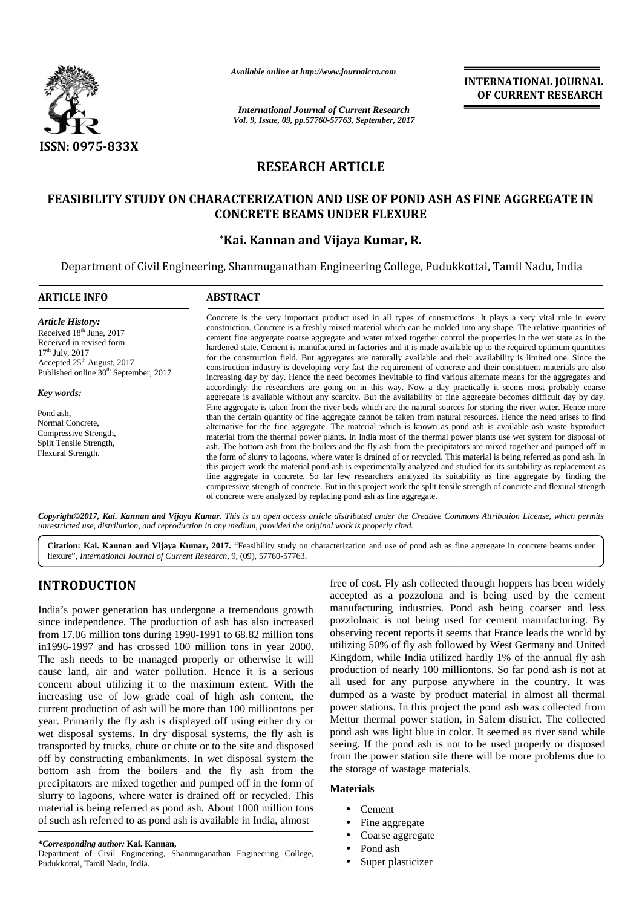

*Available online at http://www.journalcra.com*

*International Journal of Current Research International Journal Vol. 9, Issue, 09, pp.57760-57763, September, 2017*<br> *Vol. 9, Issue, 09, pp.57760-57763, September, 2017* 

**INTERNATIONAL JOURNAL OF CURRENT RESEARCH**

# **RESEARCH ARTICLE**

# **FEASIBILITY STUDY ON CHARACTERIZATION AND USE OF POND ASH AS FINE AGGREGATE IN USE OF AGGREGATE INCONCRETE BEAMS UNDER FLEXURE**

# **\*Kai. Kannan and Vijaya Kumar, R. Kai.and**

Department of Civil Engineering, Shanmuganathan Engineering College, Pudukkottai, Tamil Nadu, India

| <b>ARTICLE INFO</b>                                                                                                                                                                         | <b>ABSTRACT</b>                                                                                                                                                                                                                                                                                                                                                                                                                                                                                                                                                                                                                                                                                                                                                                                                                                                                                                                                                                                                                                                                                                                                                  |  |  |  |
|---------------------------------------------------------------------------------------------------------------------------------------------------------------------------------------------|------------------------------------------------------------------------------------------------------------------------------------------------------------------------------------------------------------------------------------------------------------------------------------------------------------------------------------------------------------------------------------------------------------------------------------------------------------------------------------------------------------------------------------------------------------------------------------------------------------------------------------------------------------------------------------------------------------------------------------------------------------------------------------------------------------------------------------------------------------------------------------------------------------------------------------------------------------------------------------------------------------------------------------------------------------------------------------------------------------------------------------------------------------------|--|--|--|
| <b>Article History:</b><br>Received $18th$ June, 2017<br>Received in revised form<br>$17th$ July, 2017<br>Accepted $25th$ August, 2017<br>Published online 30 <sup>th</sup> September, 2017 | Concrete is the very important product used in all types of constructions. It plays a very vital role in every<br>construction. Concrete is a freshly mixed material which can be molded into any shape. The relative quantities of<br>cement fine aggregate coarse aggregate and water mixed together control the properties in the wet state as in the<br>hardened state. Cement is manufactured in factories and it is made available up to the required optimum quantities<br>for the construction field. But aggregates are naturally available and their availability is limited one. Since the<br>construction industry is developing very fast the requirement of concrete and their constituent materials are also<br>increasing day by day. Hence the need becomes inevitable to find various alternate means for the aggregates and                                                                                                                                                                                                                                                                                                                   |  |  |  |
| Key words:                                                                                                                                                                                  | accordingly the researchers are going on in this way. Now a day practically it seems most probably coarse<br>aggregate is available without any scarcity. But the availability of fine aggregate becomes difficult day by day.                                                                                                                                                                                                                                                                                                                                                                                                                                                                                                                                                                                                                                                                                                                                                                                                                                                                                                                                   |  |  |  |
| Pond ash,<br>Normal Concrete,<br>Compressive Strength,<br>Split Tensile Strength,<br>Flexural Strength.                                                                                     | Fine aggregate is taken from the river beds which are the natural sources for storing the river water. Hence more<br>than the certain quantity of fine aggregate cannot be taken from natural resources. Hence the need arises to find<br>alternative for the fine aggregate. The material which is known as pond ash is available ash waste byproduct<br>material from the thermal power plants. In India most of the thermal power plants use wet system for disposal of<br>ash. The bottom ash from the boilers and the fly ash from the precipitators are mixed together and pumped off in<br>the form of slurry to lagoons, where water is drained of or recycled. This material is being referred as pond ash. In<br>this project work the material pond ash is experimentally analyzed and studied for its suitability as replacement as<br>fine aggregate in concrete. So far few researchers analyzed its suitability as fine aggregate by finding the<br>compressive strength of concrete. But in this project work the split tensile strength of concrete and flexural strength<br>of concrete were analyzed by replacing pond ash as fine aggregate. |  |  |  |

*Copyright©2017, Kai. Kannan and Vijaya Kumar. This is an open access article distributed under the Creative Commons Attribution License, which permits* **Copyright©2017, Kai. Kannan and Vijaya Kumar.** This is an open access article distributed under the Crea<br>unrestricted use, distribution, and reproduction in any medium, provided the original work is properly cited.

Citation: Kai. Kannan and Vijaya Kumar, 2017. "Feasibility study on characterization and use of pond ash as fine aggregate in concrete beams under flexure", *International Journal of Current Research*, 9, (09), 57760-57763.

# **INTRODUCTION INTRODUCTION**

India's power generation has undergone a tremendous growth manu since independence. The production of ash has also increased from 17.06 million tons during 1990-1991 to 68.82 million tons in1996-1997 and has crossed 100 million tons in year 2000. The ash needs to be managed properly or otherwise it will cause land, air and water pollution. Hence it is a serious concern about utilizing it to the maximum extent. With the increasing use of low grade coal of high ash content, the current production of ash will be more than 100 milliontons per year. Primarily the fly ash is displayed off using either dry or wet disposal systems. In dry disposal systems, the fly ash is transported by trucks, chute or chute or to the site and disposed off by constructing embankments. In wet disposal system the bottom ash from the boilers and the fly ash from the precipitators are mixed together and pumped off in the form of  $\mathbf{M}$ slurry to lagoons, where water is drained off or recycled. This material is being referred as pond ash. About 1000 million tons of such ash referred to as pond ash is available in India, almost since independence. The production of ash has also increased pozzl<br>from 17.06 million tons during 1990-1991 to 68.82 million tons obser<br>in1996-1997 and has crossed 100 million tons in year 2000. utiliz<br>The ash needs to be off by constructing embankments. In wet disposal system the bottom ash from the boilers and the fly ash from the precipitators are mixed together and pumped off in the form of slurry to lagoons, where water is drained off **INTRODUCTION**<br>
free of cost. Fly ash collected through hoppers has been widely<br>the main sundergone a termendous growth manufacturing industries. Pond also been general as<br>
since independence, the production of ash has als

free of cost. Fly ash collected through hoppers has been widely accepted as a pozzolona and is being used by the cement manufacturing industries. Pond ash being coarser and less pozzlolnaic is not being used for cement manufacturing. By observing recent reports it seems that France leads the world by utilizing 50% of fly ash followed by West Germany and United Kingdom, while India utilized hardly 1% of the annual fly ash production of nearly 100 milliontons. So far pond ash is not at all used for any purpose anywhere in the country. It was dumped as a waste by product material in almost all thermal power stations. In this project the pond ash was collected from Mettur thermal power station, in Salem district. The collected pond ash was light blue in color. It seemed as river sand while seeing. If the pond ash is not to be used properly or disposed from the power station site there will be more problems due to the storage of wastage materials. was light blue in color. It seemed as river sand while<br>seeing. If the pond ash is not to be used properly or disposed<br>from the power station site there will be more problems due to<br>the storage of wastage materials.<br>**Materi** cost. Fly ash collected through hoppers has been widely<br>d as a pozzolona and is being used by the cement<br>cturing industries. Pond ash being coarser and less<br>naic is not being used for cement manufacturing. By<br>ng recent rep

## **Materials**

- Cement
- Fine aggregate
- Coarse aggregate
- Pond ash
- Super plasticizer

**<sup>\*</sup>***Corresponding author:* **Kai. Kannan, \****Corresponding* 

Department of Civil Engineering, Shanmuganathan Engineering College, Pudukkottai, Tamil Nadu, India.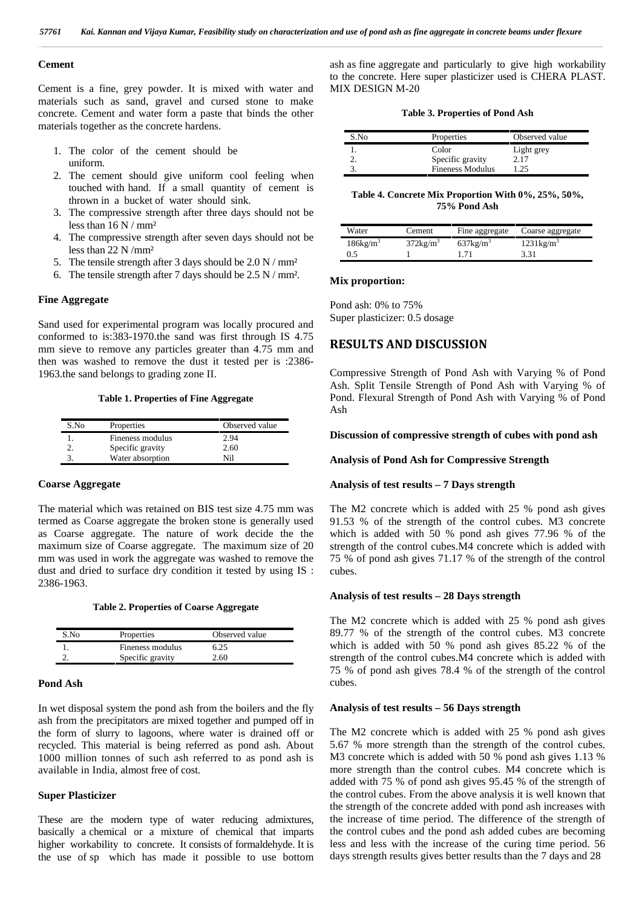#### **Cement**

Cement is a fine, grey powder. It is mixed with water and materials such as sand, gravel and cursed stone to make concrete. Cement and water form a paste that binds the other materials together as the concrete hardens.

- 1. The color of the cement should be uniform.
- 2. The cement should give uniform cool feeling when touched with hand. If a small quantity of cement is thrown in a bucket of water should sink.
- 3. The compressive strength after three days should not be less than 16 N / mm²
- 4. The compressive strength after seven days should not be less than 22 N /mm²
- 5. The tensile strength after 3 days should be  $2.0 \text{ N} / \text{mm}^2$
- 6. The tensile strength after 7 days should be 2.5 N / mm².

# **Fine Aggregate**

Sand used for experimental program was locally procured and conformed to is:383-1970.the sand was first through IS 4.75 mm sieve to remove any particles greater than 4.75 mm and then was washed to remove the dust it tested per is :2386- 1963.the sand belongs to grading zone II.

#### **Table 1. Properties of Fine Aggregate**

| S.No | Properties       | Observed value |
|------|------------------|----------------|
|      | Fineness modulus | 2.94           |
|      | Specific gravity | 2.60           |
|      | Water absorption | Ni1            |

### **Coarse Aggregate**

The material which was retained on BIS test size 4.75 mm was termed as Coarse aggregate the broken stone is generally used as Coarse aggregate. The nature of work decide the the maximum size of Coarse aggregate. The maximum size of 20 mm was used in work the aggregate was washed to remove the dust and dried to surface dry condition it tested by using IS : 2386-1963.

**Table 2. Properties of Coarse Aggregate**

| S.No | Properties       | Observed value |
|------|------------------|----------------|
|      | Fineness modulus | 6.25           |
|      | Specific gravity | 2.60           |

### **Pond Ash**

In wet disposal system the pond ash from the boilers and the fly ash from the precipitators are mixed together and pumped off in the form of slurry to lagoons, where water is drained off or recycled. This material is being referred as pond ash. About 1000 million tonnes of such ash referred to as pond ash is available in India, almost free of cost.

# **Super Plasticizer**

These are the modern type of water reducing admixtures, basically a chemical or a mixture of chemical that imparts higher workability to concrete. It consists of formaldehyde. It is the use of sp which has made it possible to use bottom ash as fine aggregate and particularly to give high workability to the concrete. Here super plasticizer used is CHERA PLAST. MIX DESIGN M-20

| S.No | Properties              | Observed value |
|------|-------------------------|----------------|
|      | Color                   | Light grey     |
|      | Specific gravity        | 2.17           |
|      | <b>Fineness Modulus</b> | -25            |

**Table 4. Concrete Mix Proportion With 0%, 25%, 50%, 75% Pond Ash**

| Water                | Cement             | Fine aggregate     | Coarse aggregate    |
|----------------------|--------------------|--------------------|---------------------|
| 186kg/m <sup>3</sup> | $372\text{kg/m}^3$ | $637\text{kg/m}^3$ | $1231\text{kg/m}^3$ |
| 0.5                  |                    |                    | 3.31                |

### **Mix proportion:**

Pond ash: 0% to 75% Super plasticizer: 0.5 dosage

# **RESULTS AND DISCUSSION**

Compressive Strength of Pond Ash with Varying % of Pond Ash. Split Tensile Strength of Pond Ash with Varying % of Pond. Flexural Strength of Pond Ash with Varying % of Pond Ash

#### **Discussion of compressive strength of cubes with pond ash**

### **Analysis of Pond Ash for Compressive Strength**

#### **Analysis of test results – 7 Days strength**

The M2 concrete which is added with 25 % pond ash gives 91.53 % of the strength of the control cubes. M3 concrete which is added with 50 % pond ash gives 77.96 % of the strength of the control cubes.M4 concrete which is added with 75 % of pond ash gives 71.17 % of the strength of the control cubes.

#### **Analysis of test results – 28 Days strength**

The M2 concrete which is added with 25 % pond ash gives 89.77 % of the strength of the control cubes. M3 concrete which is added with 50 % pond ash gives 85.22 % of the strength of the control cubes.M4 concrete which is added with 75 % of pond ash gives 78.4 % of the strength of the control cubes.

#### **Analysis of test results – 56 Days strength**

The M2 concrete which is added with 25 % pond ash gives 5.67 % more strength than the strength of the control cubes. M3 concrete which is added with 50 % pond ash gives 1.13 % more strength than the control cubes. M4 concrete which is added with 75 % of pond ash gives 95.45 % of the strength of the control cubes. From the above analysis it is well known that the strength of the concrete added with pond ash increases with the increase of time period. The difference of the strength of the control cubes and the pond ash added cubes are becoming less and less with the increase of the curing time period. 56 days strength results gives better results than the 7 days and 28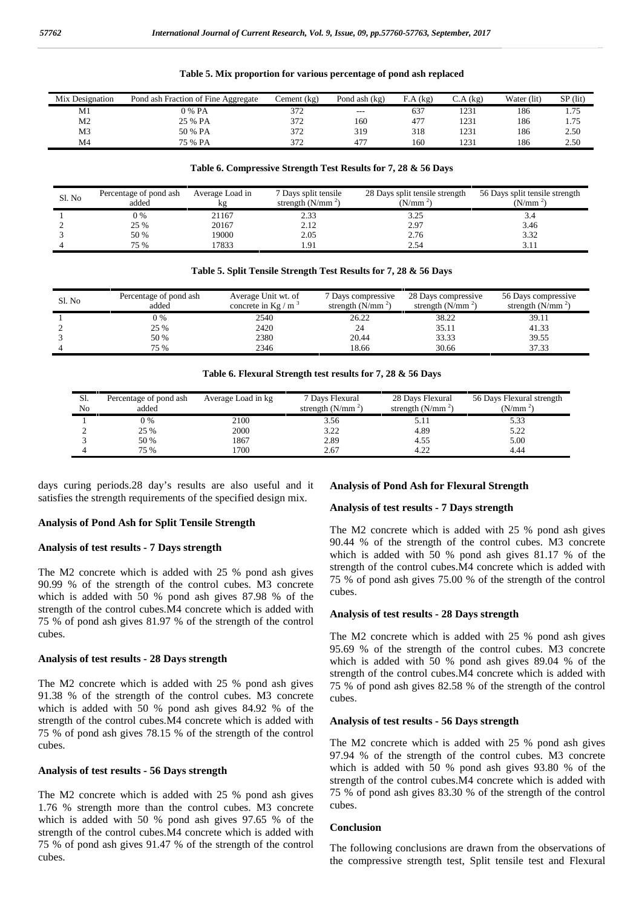| Mix Designation | Pond ash Fraction of Fine Aggregate | $L$ ement (kg) | Pond ash $(kg)$ | A(kg) | (kg)<br>C.A | Water (lit) | $SP$ (lit) |
|-----------------|-------------------------------------|----------------|-----------------|-------|-------------|-------------|------------|
| M1              | ን % PA                              | 372            | $- - -$         | 637   | 1231        | 186         | 1.75       |
| M <sub>2</sub>  | 25 % PA                             | 372            | 160             | 477   | 1231        | 186         | 1.75       |
| M <sub>3</sub>  | 50 % PA                             | 372            | 319             | 318   | 1231        | 186         | 2.50       |
| M <sub>4</sub>  | 75 % PA                             | 372            | 477             | 160   | 1231        | 186         | 2.50       |

#### **Table 5. Mix proportion for various percentage of pond ash replaced**

#### **Table 6. Compressive Strength Test Results for 7, 28 & 56 Days**

| Sl. No | Percentage of pond ash<br>added | Average Load in<br>кg | 7 Days split tensile<br>strength $(N/mm2)$ | 28 Days split tensile strength<br>(N/mm <sup>2</sup> ) | 56 Days split tensile strength<br>(N/mm <sup>2</sup> ) |
|--------|---------------------------------|-----------------------|--------------------------------------------|--------------------------------------------------------|--------------------------------------------------------|
|        | 0 %                             | 21167                 | 2.33                                       | 3.25                                                   | ٥.4                                                    |
|        | 25 %                            | 20167                 | 2.12                                       | 2.97                                                   | 3.46                                                   |
|        | 50 %                            | 19000                 | 2.05                                       | 2.76                                                   | 3.32                                                   |
|        | 75 %                            | 7833                  | 1.91                                       | 2.54                                                   |                                                        |

#### **Table 5. Split Tensile Strength Test Results for 7, 28 & 56 Days**

| Sl. No | Percentage of pond ash<br>added | Average Unit wt. of<br>concrete in Kg / $m3$ | 7 Days compressive<br>strength $(N/mm2)$ | 28 Days compressive<br>strength $(N/mm2)$ | 56 Days compressive<br>strength $(N/mm2)$ |
|--------|---------------------------------|----------------------------------------------|------------------------------------------|-------------------------------------------|-------------------------------------------|
|        | 0 %                             | 2540                                         | 26.22                                    | 38.22                                     | 39.11                                     |
|        | 25 %                            | 2420                                         |                                          | 35.11                                     | 41.33                                     |
|        | 50 %                            | 2380                                         | 20.44                                    | 33.33                                     | 39.55                                     |
| 4      | 75 %                            | 2346                                         | 18.66                                    | 30.66                                     | 37.33                                     |

**Table 6. Flexural Strength test results for 7, 28 & 56 Days**

| Sl. | Percentage of pond ash | Average Load in kg | 7 Days Flexural    | 28 Days Flexural   | 56 Days Flexural strength |
|-----|------------------------|--------------------|--------------------|--------------------|---------------------------|
| No  | added                  |                    | strength $(N/mm2)$ | strength $(N/mm2)$ | (N/mm <sup>2</sup> )      |
|     | $0\%$                  | 2100               | 3.56               | 5.11               | 5.33                      |
|     | 25 %                   | 2000               | 3.22               | 4.89               | 5.22                      |
|     | 50 %                   | 1867               | 2.89               | 4.55               | 5.00                      |
|     | 75 %                   | 1700               | 2.67               | 4.22               | 4.44                      |

days curing periods.28 day's results are also useful and it satisfies the strength requirements of the specified design mix.

## **Analysis of Pond Ash for Split Tensile Strength**

### **Analysis of test results - 7 Days strength**

The M2 concrete which is added with 25 % pond ash gives 90.99 % of the strength of the control cubes. M3 concrete which is added with 50 % pond ash gives 87.98 % of the strength of the control cubes.M4 concrete which is added with 75 % of pond ash gives 81.97 % of the strength of the control cubes.

#### **Analysis of test results - 28 Days strength**

The M2 concrete which is added with 25 % pond ash gives 91.38 % of the strength of the control cubes. M3 concrete which is added with 50 % pond ash gives 84.92 % of the strength of the control cubes.M4 concrete which is added with 75 % of pond ash gives 78.15 % of the strength of the control cubes.

## **Analysis of test results - 56 Days strength**

The M2 concrete which is added with 25 % pond ash gives 1.76 % strength more than the control cubes. M3 concrete which is added with 50 % pond ash gives 97.65 % of the strength of the control cubes.M4 concrete which is added with 75 % of pond ash gives 91.47 % of the strength of the control cubes.

#### **Analysis of Pond Ash for Flexural Strength**

## **Analysis of test results - 7 Days strength**

The M2 concrete which is added with 25 % pond ash gives 90.44 % of the strength of the control cubes. M3 concrete which is added with 50 % pond ash gives 81.17 % of the strength of the control cubes.M4 concrete which is added with 75 % of pond ash gives 75.00 % of the strength of the control cubes.

#### **Analysis of test results - 28 Days strength**

The M2 concrete which is added with 25 % pond ash gives 95.69 % of the strength of the control cubes. M3 concrete which is added with 50 % pond ash gives 89.04 % of the strength of the control cubes.M4 concrete which is added with 75 % of pond ash gives 82.58 % of the strength of the control cubes.

#### **Analysis of test results - 56 Days strength**

The M2 concrete which is added with 25 % pond ash gives 97.94 % of the strength of the control cubes. M3 concrete which is added with 50 % pond ash gives 93.80 % of the strength of the control cubes.M4 concrete which is added with 75 % of pond ash gives 83.30 % of the strength of the control cubes.

#### **Conclusion**

The following conclusions are drawn from the observations of the compressive strength test, Split tensile test and Flexural